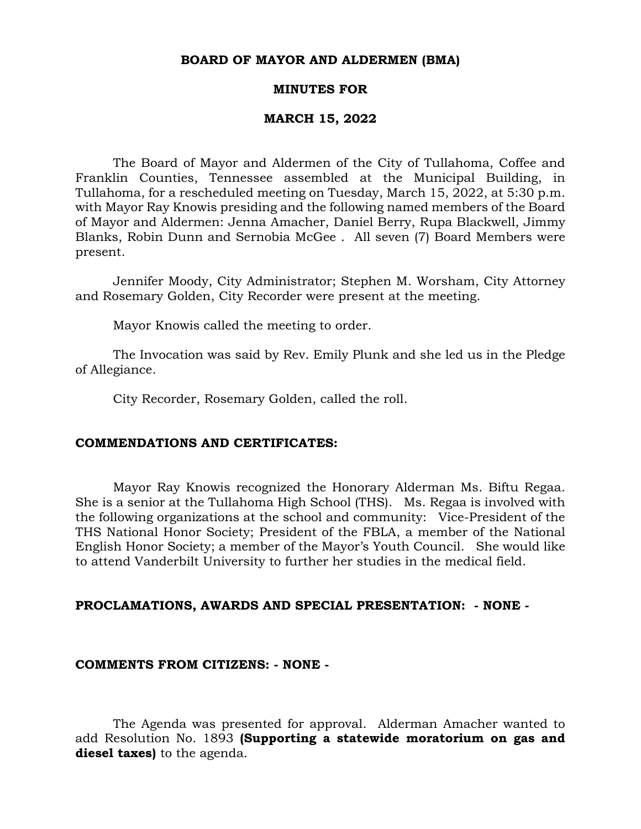#### **BOARD OF MAYOR AND ALDERMEN (BMA)**

#### **MINUTES FOR**

#### **MARCH 15, 2022**

The Board of Mayor and Aldermen of the City of Tullahoma, Coffee and Franklin Counties, Tennessee assembled at the Municipal Building, in Tullahoma, for a rescheduled meeting on Tuesday, March 15, 2022, at 5:30 p.m. with Mayor Ray Knowis presiding and the following named members of the Board of Mayor and Aldermen: Jenna Amacher, Daniel Berry, Rupa Blackwell, Jimmy Blanks, Robin Dunn and Sernobia McGee . All seven (7) Board Members were present.

Jennifer Moody, City Administrator; Stephen M. Worsham, City Attorney and Rosemary Golden, City Recorder were present at the meeting.

Mayor Knowis called the meeting to order.

The Invocation was said by Rev. Emily Plunk and she led us in the Pledge of Allegiance.

City Recorder, Rosemary Golden, called the roll.

#### **COMMENDATIONS AND CERTIFICATES:**

Mayor Ray Knowis recognized the Honorary Alderman Ms. Biftu Regaa. She is a senior at the Tullahoma High School (THS). Ms. Regaa is involved with the following organizations at the school and community: Vice-President of the THS National Honor Society; President of the FBLA, a member of the National English Honor Society; a member of the Mayor's Youth Council. She would like to attend Vanderbilt University to further her studies in the medical field.

## **PROCLAMATIONS, AWARDS AND SPECIAL PRESENTATION: - NONE -**

#### **COMMENTS FROM CITIZENS: - NONE -**

The Agenda was presented for approval. Alderman Amacher wanted to add Resolution No. 1893 **(Supporting a statewide moratorium on gas and diesel taxes)** to the agenda.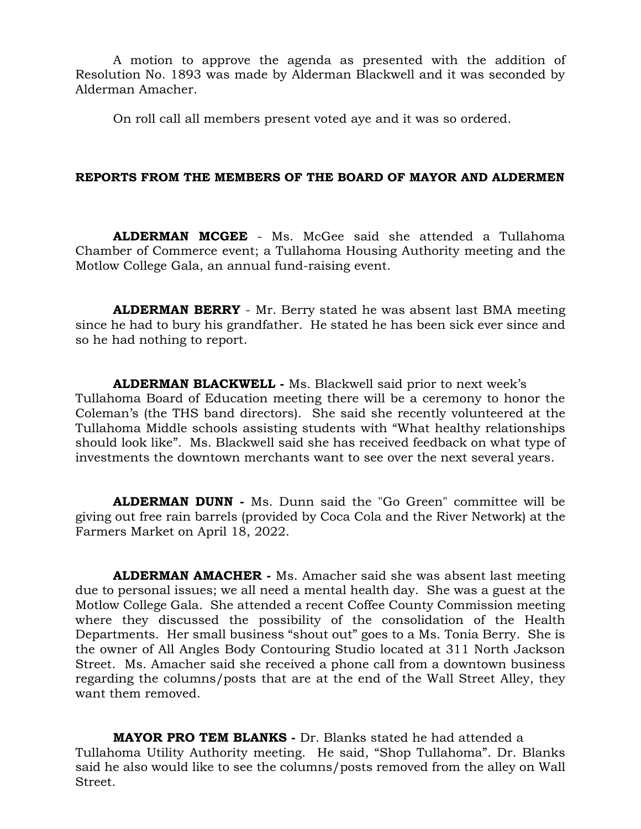A motion to approve the agenda as presented with the addition of Resolution No. 1893 was made by Alderman Blackwell and it was seconded by Alderman Amacher.

On roll call all members present voted aye and it was so ordered.

## **REPORTS FROM THE MEMBERS OF THE BOARD OF MAYOR AND ALDERMEN**

**ALDERMAN MCGEE** - Ms. McGee said she attended a Tullahoma Chamber of Commerce event; a Tullahoma Housing Authority meeting and the Motlow College Gala, an annual fund-raising event.

**ALDERMAN BERRY** - Mr. Berry stated he was absent last BMA meeting since he had to bury his grandfather. He stated he has been sick ever since and so he had nothing to report.

**ALDERMAN BLACKWELL -** Ms. Blackwell said prior to next week's Tullahoma Board of Education meeting there will be a ceremony to honor the Coleman's (the THS band directors). She said she recently volunteered at the Tullahoma Middle schools assisting students with "What healthy relationships should look like". Ms. Blackwell said she has received feedback on what type of investments the downtown merchants want to see over the next several years.

**ALDERMAN DUNN -** Ms. Dunn said the "Go Green" committee will be giving out free rain barrels (provided by Coca Cola and the River Network) at the Farmers Market on April 18, 2022.

**ALDERMAN AMACHER -** Ms. Amacher said she was absent last meeting due to personal issues; we all need a mental health day. She was a guest at the Motlow College Gala. She attended a recent Coffee County Commission meeting where they discussed the possibility of the consolidation of the Health Departments. Her small business "shout out" goes to a Ms. Tonia Berry. She is the owner of All Angles Body Contouring Studio located at 311 North Jackson Street. Ms. Amacher said she received a phone call from a downtown business regarding the columns/posts that are at the end of the Wall Street Alley, they want them removed.

**MAYOR PRO TEM BLANKS -** Dr. Blanks stated he had attended a Tullahoma Utility Authority meeting. He said, "Shop Tullahoma". Dr. Blanks said he also would like to see the columns/posts removed from the alley on Wall Street.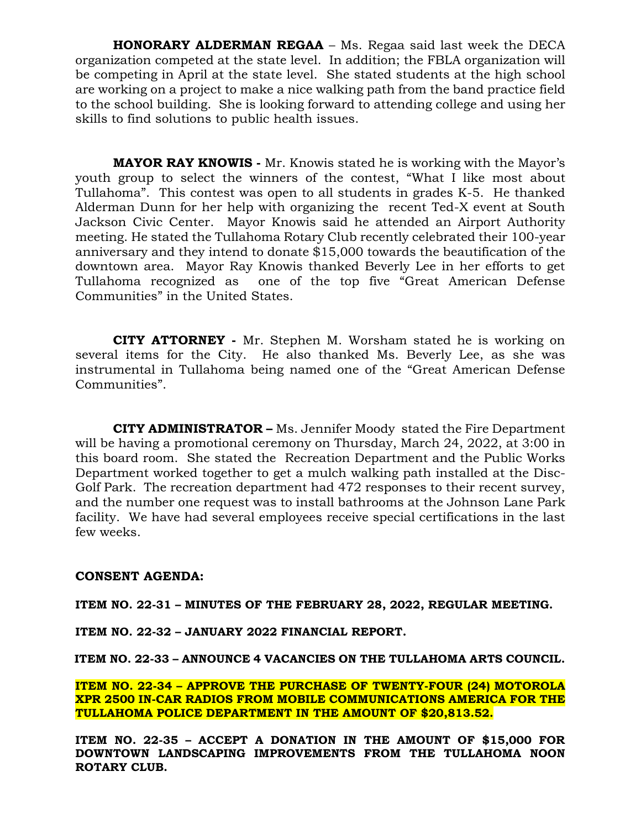**HONORARY ALDERMAN REGAA** – Ms. Regaa said last week the DECA organization competed at the state level. In addition; the FBLA organization will be competing in April at the state level. She stated students at the high school are working on a project to make a nice walking path from the band practice field to the school building. She is looking forward to attending college and using her skills to find solutions to public health issues.

**MAYOR RAY KNOWIS -** Mr. Knowis stated he is working with the Mayor's youth group to select the winners of the contest, "What I like most about Tullahoma". This contest was open to all students in grades K-5. He thanked Alderman Dunn for her help with organizing the recent Ted-X event at South Jackson Civic Center. Mayor Knowis said he attended an Airport Authority meeting. He stated the Tullahoma Rotary Club recently celebrated their 100-year anniversary and they intend to donate \$15,000 towards the beautification of the downtown area. Mayor Ray Knowis thanked Beverly Lee in her efforts to get Tullahoma recognized as one of the top five "Great American Defense Communities" in the United States.

 **CITY ATTORNEY -** Mr. Stephen M. Worsham stated he is working on several items for the City. He also thanked Ms. Beverly Lee, as she was instrumental in Tullahoma being named one of the "Great American Defense Communities".

**CITY ADMINISTRATOR –** Ms. Jennifer Moody stated the Fire Department will be having a promotional ceremony on Thursday, March 24, 2022, at 3:00 in this board room. She stated the Recreation Department and the Public Works Department worked together to get a mulch walking path installed at the Disc-Golf Park. The recreation department had 472 responses to their recent survey, and the number one request was to install bathrooms at the Johnson Lane Park facility. We have had several employees receive special certifications in the last few weeks.

## **CONSENT AGENDA:**

**ITEM NO. 22-31 – MINUTES OF THE FEBRUARY 28, 2022, REGULAR MEETING.**

**ITEM NO. 22-32 – JANUARY 2022 FINANCIAL REPORT.**

**ITEM NO. 22-33 – ANNOUNCE 4 VACANCIES ON THE TULLAHOMA ARTS COUNCIL.** 

**ITEM NO. 22-34 – APPROVE THE PURCHASE OF TWENTY-FOUR (24) MOTOROLA XPR 2500 IN-CAR RADIOS FROM MOBILE COMMUNICATIONS AMERICA FOR THE TULLAHOMA POLICE DEPARTMENT IN THE AMOUNT OF \$20,813.52.**

**ITEM NO. 22-35 – ACCEPT A DONATION IN THE AMOUNT OF \$15,000 FOR DOWNTOWN LANDSCAPING IMPROVEMENTS FROM THE TULLAHOMA NOON ROTARY CLUB.**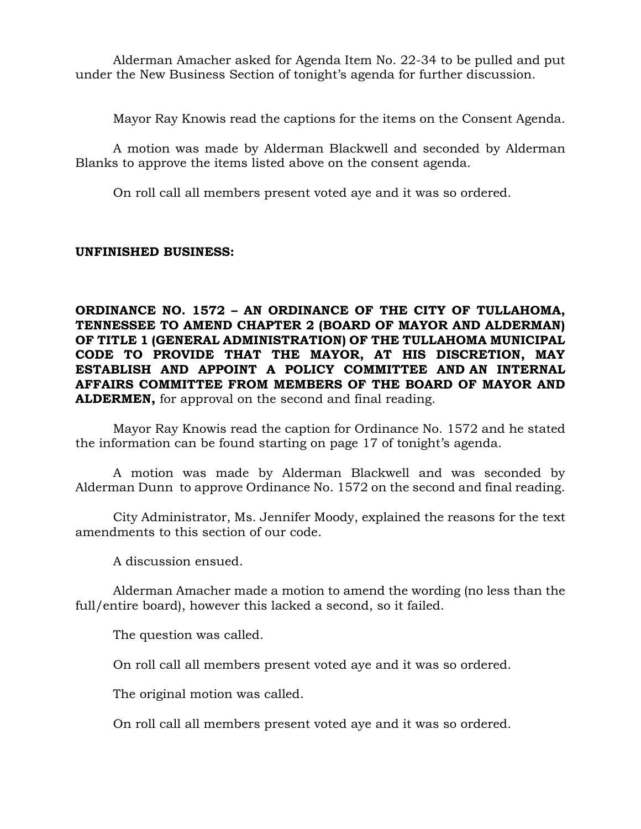Alderman Amacher asked for Agenda Item No. 22-34 to be pulled and put under the New Business Section of tonight's agenda for further discussion.

Mayor Ray Knowis read the captions for the items on the Consent Agenda.

A motion was made by Alderman Blackwell and seconded by Alderman Blanks to approve the items listed above on the consent agenda.

On roll call all members present voted aye and it was so ordered.

# **UNFINISHED BUSINESS:**

**ORDINANCE NO. 1572 – AN ORDINANCE OF THE CITY OF TULLAHOMA, TENNESSEE TO AMEND CHAPTER 2 (BOARD OF MAYOR AND ALDERMAN) OF TITLE 1 (GENERAL ADMINISTRATION) OF THE TULLAHOMA MUNICIPAL CODE TO PROVIDE THAT THE MAYOR, AT HIS DISCRETION, MAY ESTABLISH AND APPOINT A POLICY COMMITTEE AND AN INTERNAL AFFAIRS COMMITTEE FROM MEMBERS OF THE BOARD OF MAYOR AND ALDERMEN,** for approval on the second and final reading.

Mayor Ray Knowis read the caption for Ordinance No. 1572 and he stated the information can be found starting on page 17 of tonight's agenda.

A motion was made by Alderman Blackwell and was seconded by Alderman Dunn to approve Ordinance No. 1572 on the second and final reading.

City Administrator, Ms. Jennifer Moody, explained the reasons for the text amendments to this section of our code.

A discussion ensued.

Alderman Amacher made a motion to amend the wording (no less than the full/entire board), however this lacked a second, so it failed.

The question was called.

On roll call all members present voted aye and it was so ordered.

The original motion was called.

On roll call all members present voted aye and it was so ordered.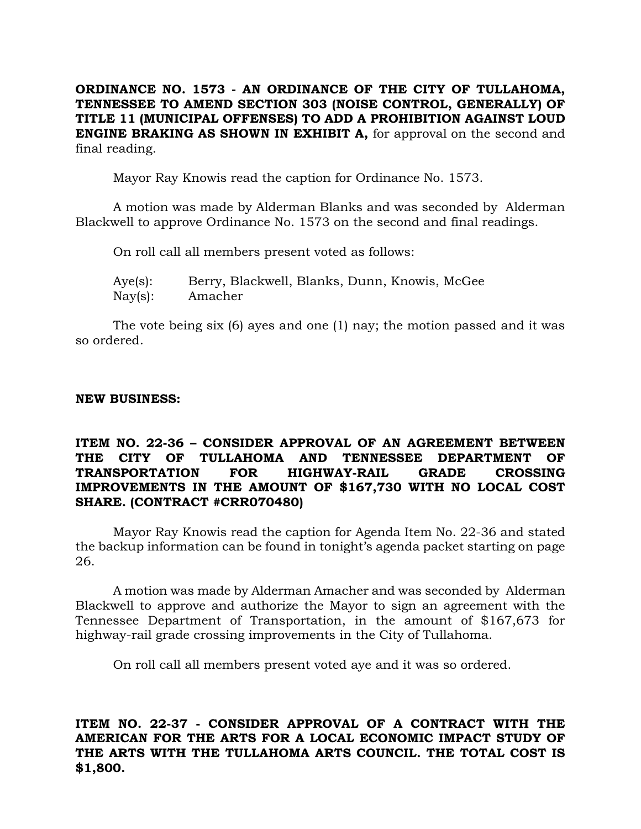**ORDINANCE NO. 1573 - AN ORDINANCE OF THE CITY OF TULLAHOMA, TENNESSEE TO AMEND SECTION 303 (NOISE CONTROL, GENERALLY) OF TITLE 11 (MUNICIPAL OFFENSES) TO ADD A PROHIBITION AGAINST LOUD ENGINE BRAKING AS SHOWN IN EXHIBIT A,** for approval on the second and final reading.

Mayor Ray Knowis read the caption for Ordinance No. 1573.

A motion was made by Alderman Blanks and was seconded by Alderman Blackwell to approve Ordinance No. 1573 on the second and final readings.

On roll call all members present voted as follows:

Aye(s): Berry, Blackwell, Blanks, Dunn, Knowis, McGee Nay(s): Amacher

The vote being six (6) ayes and one (1) nay; the motion passed and it was so ordered.

## **NEW BUSINESS:**

# **ITEM NO. 22-36 – CONSIDER APPROVAL OF AN AGREEMENT BETWEEN THE CITY OF TULLAHOMA AND TENNESSEE DEPARTMENT OF TRANSPORTATION FOR HIGHWAY-RAIL GRADE CROSSING IMPROVEMENTS IN THE AMOUNT OF \$167,730 WITH NO LOCAL COST SHARE. (CONTRACT #CRR070480)**

Mayor Ray Knowis read the caption for Agenda Item No. 22-36 and stated the backup information can be found in tonight's agenda packet starting on page 26.

A motion was made by Alderman Amacher and was seconded by Alderman Blackwell to approve and authorize the Mayor to sign an agreement with the Tennessee Department of Transportation, in the amount of \$167,673 for highway-rail grade crossing improvements in the City of Tullahoma.

On roll call all members present voted aye and it was so ordered.

**ITEM NO. 22-37 - CONSIDER APPROVAL OF A CONTRACT WITH THE AMERICAN FOR THE ARTS FOR A LOCAL ECONOMIC IMPACT STUDY OF THE ARTS WITH THE TULLAHOMA ARTS COUNCIL. THE TOTAL COST IS \$1,800.**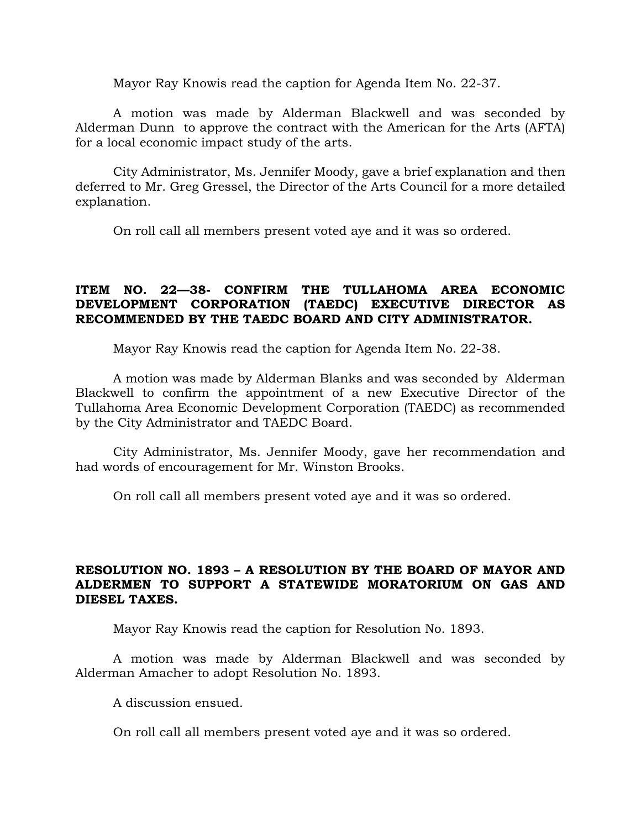Mayor Ray Knowis read the caption for Agenda Item No. 22-37.

A motion was made by Alderman Blackwell and was seconded by Alderman Dunn to approve the contract with the American for the Arts (AFTA) for a local economic impact study of the arts.

City Administrator, Ms. Jennifer Moody, gave a brief explanation and then deferred to Mr. Greg Gressel, the Director of the Arts Council for a more detailed explanation.

On roll call all members present voted aye and it was so ordered.

# **ITEM NO. 22—38- CONFIRM THE TULLAHOMA AREA ECONOMIC DEVELOPMENT CORPORATION (TAEDC) EXECUTIVE DIRECTOR AS RECOMMENDED BY THE TAEDC BOARD AND CITY ADMINISTRATOR.**

Mayor Ray Knowis read the caption for Agenda Item No. 22-38.

A motion was made by Alderman Blanks and was seconded by Alderman Blackwell to confirm the appointment of a new Executive Director of the Tullahoma Area Economic Development Corporation (TAEDC) as recommended by the City Administrator and TAEDC Board.

City Administrator, Ms. Jennifer Moody, gave her recommendation and had words of encouragement for Mr. Winston Brooks.

On roll call all members present voted aye and it was so ordered.

# **RESOLUTION NO. 1893 – A RESOLUTION BY THE BOARD OF MAYOR AND ALDERMEN TO SUPPORT A STATEWIDE MORATORIUM ON GAS AND DIESEL TAXES.**

Mayor Ray Knowis read the caption for Resolution No. 1893.

A motion was made by Alderman Blackwell and was seconded by Alderman Amacher to adopt Resolution No. 1893.

A discussion ensued.

On roll call all members present voted aye and it was so ordered.